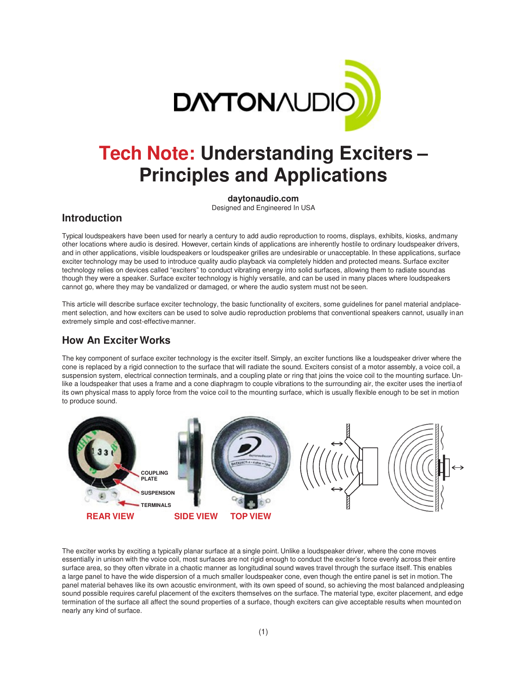

# **Tech Note: Understanding Exciters – Principles and Applications**

**daytonaudio.com**

Designed and Engineered In USA

### **Introduction**

Typical loudspeakers have been used for nearly a century to add audio reproduction to rooms, displays, exhibits, kiosks, and many other locations where audio is desired. However, certain kinds of applications are inherently hostile to ordinary loudspeaker drivers, and in other applications, visible loudspeakers or loudspeaker grilles are undesirable or unacceptable. In these applications, surface exciter technology may be used to introduce quality audio playback via completely hidden and protected means. Surface exciter technology relies on devices called "exciters" to conduct vibrating energy into solid surfaces, allowing them to radiate sound as though they were a speaker. Surface exciter technology is highly versatile, and can be used in many places where loudspeakers cannot go, where they may be vandalized or damaged, or where the audio system must not be seen.

This article will describe surface exciter technology, the basic functionality of exciters, some guidelines for panel material and placement selection, and how exciters can be used to solve audio reproduction problems that conventional speakers cannot, usually in an extremely simple and cost-effective manner.

# **How An Exciter Works**

The key component of surface exciter technology is the exciter itself. Simply, an exciter functions like a loudspeaker driver where the cone is replaced by a rigid connection to the surface that will radiate the sound. Exciters consist of a motor assembly, a voice coil, a suspension system, electrical connection terminals, and a coupling plate or ring that joins the voice coil to the mounting surface. Unlike a loudspeaker that uses a frame and a cone diaphragm to couple vibrations to the surrounding air, the exciter uses the inertia of its own physical mass to apply force from the voice coil to the mounting surface, which is usually flexible enough to be set in motion to produce sound.



The exciter works by exciting a typically planar surface at a single point. Unlike a loudspeaker driver, where the cone moves essentially in unison with the voice coil, most surfaces are not rigid enough to conduct the exciter's force evenly across their entire surface area, so they often vibrate in a chaotic manner as longitudinal sound waves travel through the surface itself. This enables a large panel to have the wide dispersion of a much smaller loudspeaker cone, even though the entire panel is set in motion. The panel material behaves like its own acoustic environment, with its own speed of sound, so achieving the most balanced and pleasing sound possible requires careful placement of the exciters themselves on the surface. The material type, exciter placement, and edge termination of the surface all affect the sound properties of a surface, though exciters can give acceptable results when mounted on nearly any kind of surface.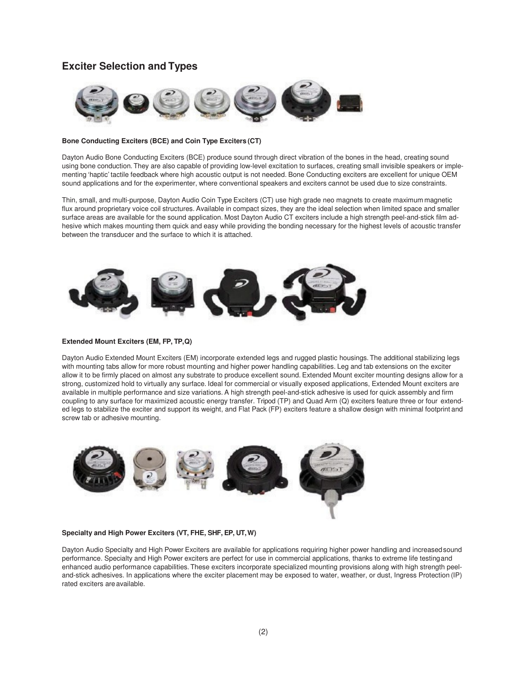## **Exciter Selection and Types**



### **Bone Conducting Exciters (BCE) and Coin Type Exciters (CT)**

Dayton Audio Bone Conducting Exciters (BCE) produce sound through direct vibration of the bones in the head, creating sound using bone conduction. They are also capable of providing low-level excitation to surfaces, creating small invisible speakers or implementing 'haptic' tactile feedback where high acoustic output is not needed. Bone Conducting exciters are excellent for unique OEM sound applications and for the experimenter, where conventional speakers and exciters cannot be used due to size constraints.

Thin, small, and multi-purpose, Dayton Audio Coin Type Exciters (CT) use high grade neo magnets to create maximum magnetic flux around proprietary voice coil structures. Available in compact sizes, they are the ideal selection when limited space and smaller surface areas are available for the sound application. Most Dayton Audio CT exciters include a high strength peel-and-stick film adhesive which makes mounting them quick and easy while providing the bonding necessary for the highest levels of acoustic transfer between the transducer and the surface to which it is attached.



### **Extended Mount Exciters (EM, FP, TP, Q)**

Dayton Audio Extended Mount Exciters (EM) incorporate extended legs and rugged plastic housings. The additional stabilizing legs with mounting tabs allow for more robust mounting and higher power handling capabilities. Leg and tab extensions on the exciter allow it to be firmly placed on almost any substrate to produce excellent sound. Extended Mount exciter mounting designs allow for a strong, customized hold to virtually any surface. Ideal for commercial or visually exposed applications, Extended Mount exciters are available in multiple performance and size variations. A high strength peel-and-stick adhesive is used for quick assembly and firm coupling to any surface for maximized acoustic energy transfer. Tripod (TP) and Quad Arm (Q) exciters feature three or four extended legs to stabilize the exciter and support its weight, and Flat Pack (FP) exciters feature a shallow design with minimal footprint and screw tab or adhesive mounting.



#### **Specialty and High Power Exciters (VT, FHE, SHF, EP, UT, W)**

Dayton Audio Specialty and High Power Exciters are available for applications requiring higher power handling and increased sound performance. Specialty and High Power exciters are perfect for use in commercial applications, thanks to extreme life testing and enhanced audio performance capabilities. These exciters incorporate specialized mounting provisions along with high strength peeland-stick adhesives. In applications where the exciter placement may be exposed to water, weather, or dust, Ingress Protection (IP) rated exciters are available.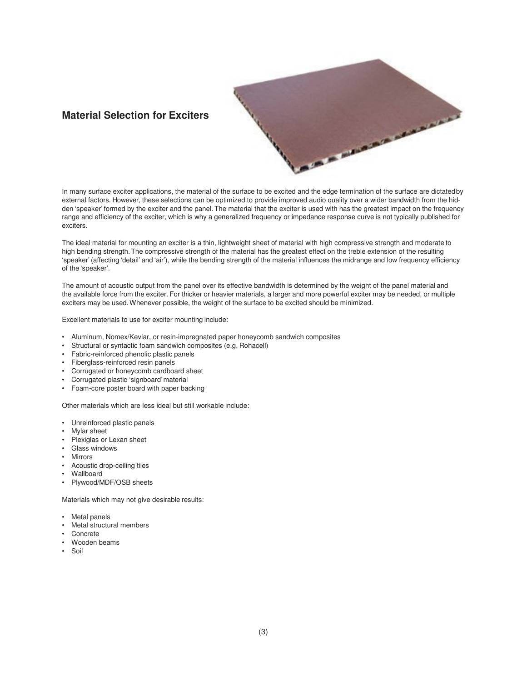# **Material Selection for Exciters**



The ideal material for mounting an exciter is a thin, lightweight sheet of material with high compressive strength and moderate to high bending strength. The compressive strength of the material has the greatest effect on the treble extension of the resulting 'speaker' (affecting 'detail' and 'air'), while the bending strength of the material influences the midrange and low frequency efficiency of the 'speaker'.

The amount of acoustic output from the panel over its effective bandwidth is determined by the weight of the panel material and the available force from the exciter. For thicker or heavier materials, a larger and more powerful exciter may be needed, or multiple exciters may be used. Whenever possible, the weight of the surface to be excited should be minimized.

Excellent materials to use for exciter mounting include:

- Aluminum, Nomex/Kevlar, or resin-impregnated paper honeycomb sandwich composites
- Structural or syntactic foam sandwich composites (e.g. Rohacell)
- Fabric-reinforced phenolic plastic panels
- Fiberglass-reinforced resin panels
- Corrugated or honeycomb cardboard sheet
- Corrugated plastic 'signboard' material
- Foam-core poster board with paper backing

Other materials which are less ideal but still workable include:

- Unreinforced plastic panels
- Mylar sheet
- Plexiglas or Lexan sheet
- Glass windows
- Mirrors
- Acoustic drop-ceiling tiles
- Wallboard
- Plywood/MDF/OSB sheets

Materials which may not give desirable results:

- Metal panels
- Metal structural members
- **Concrete**
- Wooden beams
- Soil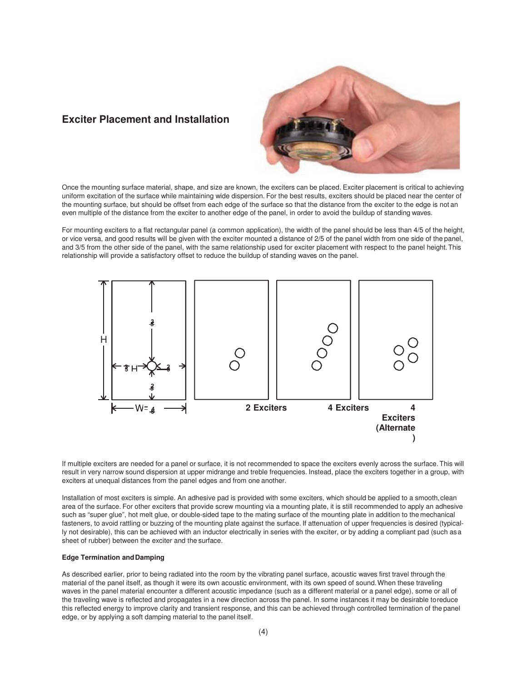## **Exciter Placement and Installation**



Once the mounting surface material, shape, and size are known, the exciters can be placed. Exciter placement is critical to achieving uniform excitation of the surface while maintaining wide dispersion. For the best results, exciters should be placed near the center of the mounting surface, but should be offset from each edge of the surface so that the distance from the exciter to the edge is not an even multiple of the distance from the exciter to another edge of the panel, in order to avoid the buildup of standing waves.

For mounting exciters to a flat rectangular panel (a common application), the width of the panel should be less than 4/5 of the height, or vice versa, and good results will be given with the exciter mounted a distance of 2/5 of the panel width from one side of the panel, and 3/5 from the other side of the panel, with the same relationship used for exciter placement with respect to the panel height. This relationship will provide a satisfactory offset to reduce the buildup of standing waves on the panel.



If multiple exciters are needed for a panel or surface, it is not recommended to space the exciters evenly across the surface. This will result in very narrow sound dispersion at upper midrange and treble frequencies. Instead, place the exciters together in a group, with exciters at unequal distances from the panel edges and from one another.

Installation of most exciters is simple. An adhesive pad is provided with some exciters, which should be applied to a smooth, clean area of the surface. For other exciters that provide screw mounting via a mounting plate, it is still recommended to apply an adhesive such as "super glue", hot melt glue, or double-sided tape to the mating surface of the mounting plate in addition to the mechanical fasteners, to avoid rattling or buzzing of the mounting plate against the surface. If attenuation of upper frequencies is desired (typically not desirable), this can be achieved with an inductor electrically in series with the exciter, or by adding a compliant pad (such as a sheet of rubber) between the exciter and the surface.

### **Edge Termination and Damping**

As described earlier, prior to being radiated into the room by the vibrating panel surface, acoustic waves first travel through the material of the panel itself, as though it were its own acoustic environment, with its own speed of sound. When these traveling waves in the panel material encounter a different acoustic impedance (such as a different material or a panel edge), some or all of the traveling wave is reflected and propagates in a new direction across the panel. In some instances it may be desirable to reduce this reflected energy to improve clarity and transient response, and this can be achieved through controlled termination of the panel edge, or by applying a soft damping material to the panel itself.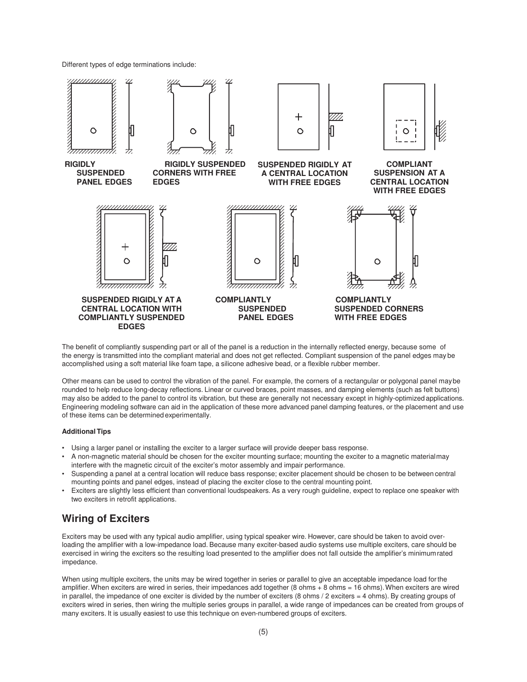Different types of edge terminations include:



The benefit of compliantly suspending part or all of the panel is a reduction in the internally reflected energy, because some of the energy is transmitted into the compliant material and does not get reflected. Compliant suspension of the panel edges may be accomplished using a soft material like foam tape, a silicone adhesive bead, or a flexible rubber member.

Other means can be used to control the vibration of the panel. For example, the corners of a rectangular or polygonal panel may be rounded to help reduce long-decay reflections. Linear or curved braces, point masses, and damping elements (such as felt buttons) may also be added to the panel to control its vibration, but these are generally not necessary except in highly-optimized applications. Engineering modeling software can aid in the application of these more advanced panel damping features, or the placement and use of these items can be determined experimentally.

### **Additional Tips**

- Using a larger panel or installing the exciter to a larger surface will provide deeper bass response.
- A non-magnetic material should be chosen for the exciter mounting surface; mounting the exciter to a magnetic material may interfere with the magnetic circuit of the exciter's motor assembly and impair performance.
- Suspending a panel at a central location will reduce bass response; exciter placement should be chosen to be between central mounting points and panel edges, instead of placing the exciter close to the central mounting point.
- Exciters are slightly less efficient than conventional loudspeakers. As a very rough guideline, expect to replace one speaker with two exciters in retrofit applications.

### **Wiring of Exciters**

Exciters may be used with any typical audio amplifier, using typical speaker wire. However, care should be taken to avoid overloading the amplifier with a low-impedance load. Because many exciter-based audio systems use multiple exciters, care should be exercised in wiring the exciters so the resulting load presented to the amplifier does not fall outside the amplifier's minimum rated impedance.

When using multiple exciters, the units may be wired together in series or parallel to give an acceptable impedance load for the amplifier. When exciters are wired in series, their impedances add together (8 ohms + 8 ohms = 16 ohms). When exciters are wired in parallel, the impedance of one exciter is divided by the number of exciters  $(8 \text{ ohms} / 2 \text{ exciters} = 4 \text{ ohms})$ . By creating groups of exciters wired in series, then wiring the multiple series groups in parallel, a wide range of impedances can be created from groups of many exciters. It is usually easiest to use this technique on even-numbered groups of exciters.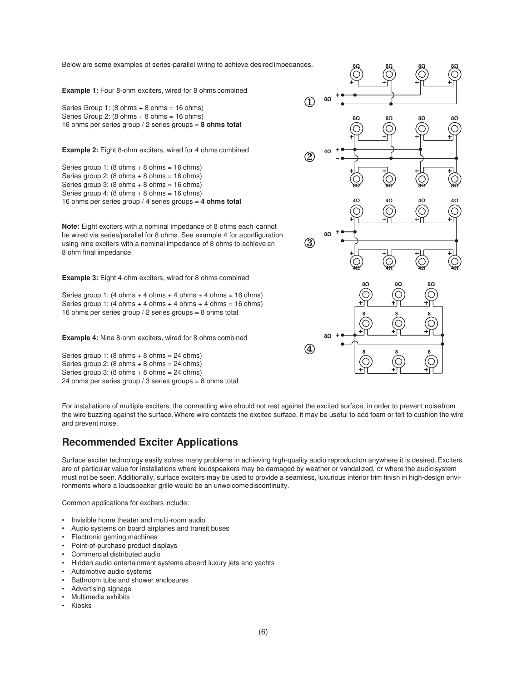Below are some examples of series-parallel wiring to achieve desired impedances.

**Example 1:** Four 8-ohm exciters, wired for 8 ohms combined

Series Group 1: (8 ohms + 8 ohms = 16 ohms) Series Group 2:  $(8 \text{ ohms} + 8 \text{ ohms} = 16 \text{ ohms})$ 16 ohms per series group / 2 series groups = **8 ohms total**

**Example 2:** Eight 8-ohm exciters, wired for 4 ohms combined

Series group 1:  $(8 \text{ ohms} + 8 \text{ ohms} = 16 \text{ ohms})$ Series group 2:  $(8 \text{ ohms} + 8 \text{ ohms} = 16 \text{ ohms})$ Series group 3:  $(8 \text{ ohms} + 8 \text{ ohms} = 16 \text{ ohms})$ Series group 4:  $(8 \text{ ohms} + 8 \text{ ohms} = 16 \text{ ohms})$ 16 ohms per series group / 4 series groups = **4 ohms total**

**Note:** Eight exciters with a nominal impedance of 8 ohms each cannot be wired via series/parallel for 8 ohms. See example 4 for a configuration using nine exciters with a nominal impedance of 8 ohms to achieve an 8 ohm final impedance.

**Example 3:** Eight 4-ohm exciters, wired for 8 ohms combined

Series group 1:  $(4 \text{ ohms} + 4 \text{ ohms} + 4 \text{ ohms} + 4 \text{ ohms} = 16 \text{ ohms})$ Series group 1:  $(4 \text{ ohms} + 4 \text{ ohms} + 4 \text{ ohms} + 4 \text{ ohms} = 16 \text{ ohms})$ 16 ohms per series group / 2 series groups = 8 ohms total

**Example 4:** Nine 8-ohm exciters, wired for 8 ohms combined

Series group 1:  $(8 \text{ ohms} + 8 \text{ ohms} = 24 \text{ ohms})$ Series group 2:  $(8 \text{ ohms} + 8 \text{ ohms} = 24 \text{ ohms})$ Series group  $3: (8 \text{ ohms} + 8 \text{ ohms} = 24 \text{ ohms})$ 24 ohms per series group / 3 series groups = 8 ohms total



For installations of multiple exciters, the connecting wire should not rest against the excited surface, in order to prevent noise from the wire buzzing against the surface. Where wire contacts the excited surface, it may be useful to add foam or felt to cushion the wire and prevent noise.

# **Recommended Exciter Applications**

Surface exciter technology easily solves many problems in achieving high-quality audio reproduction anywhere it is desired. Exciters are of particular value for installations where loudspeakers may be damaged by weather or vandalized, or where the audio system must not be seen. Additionally, surface exciters may be used to provide a seamless, luxurious interior trim finish in high-design environments where a loudspeaker grille would be an unwelcome discontinuity.

Common applications for exciters include:

- Invisible home theater and multi-room audio
- Audio systems on board airplanes and transit buses
- Electronic gaming machines
- Point-of-purchase product displays
- Commercial distributed audio
- Hidden audio entertainment systems aboard luxury jets and yachts
- Automotive audio systems
- Bathroom tubs and shower enclosures
- Advertising signage
- Multimedia exhibits
- Kiosks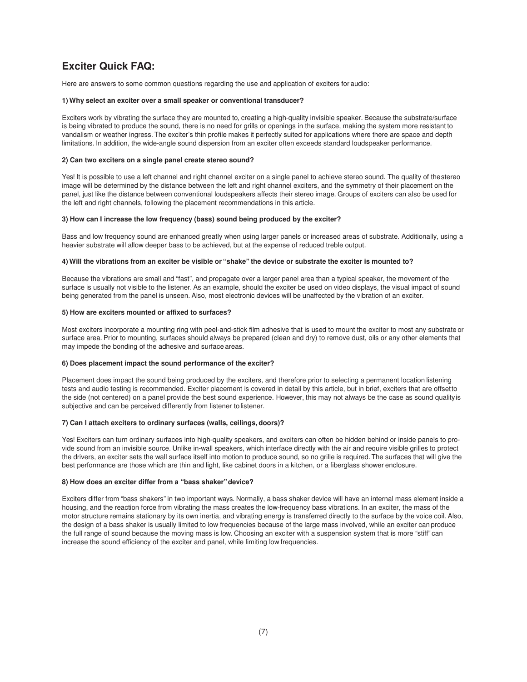# **Exciter Quick FAQ:**

Here are answers to some common questions regarding the use and application of exciters for audio:

#### **1) Why select an exciter over a small speaker or conventional transducer?**

Exciters work by vibrating the surface they are mounted to, creating a high-quality invisible speaker. Because the substrate/surface is being vibrated to produce the sound, there is no need for grills or openings in the surface, making the system more resistant to vandalism or weather ingress. The exciter's thin profile makes it perfectly suited for applications where there are space and depth limitations. In addition, the wide-angle sound dispersion from an exciter often exceeds standard loudspeaker performance.

### **2) Can two exciters on a single panel create stereo sound?**

Yes! It is possible to use a left channel and right channel exciter on a single panel to achieve stereo sound. The quality of the stereo image will be determined by the distance between the left and right channel exciters, and the symmetry of their placement on the panel, just like the distance between conventional loudspeakers affects their stereo image. Groups of exciters can also be used for the left and right channels, following the placement recommendations in this article.

#### **3) How can I increase the low frequency (bass) sound being produced by the exciter?**

Bass and low frequency sound are enhanced greatly when using larger panels or increased areas of substrate. Additionally, using a heavier substrate will allow deeper bass to be achieved, but at the expense of reduced treble output.

### **4) Will the vibrations from an exciter be visible or "shake" the device or substrate the exciter is mounted to?**

Because the vibrations are small and "fast", and propagate over a larger panel area than a typical speaker, the movement of the surface is usually not visible to the listener. As an example, should the exciter be used on video displays, the visual impact of sound being generated from the panel is unseen. Also, most electronic devices will be unaffected by the vibration of an exciter.

#### **5) How are exciters mounted or affixed to surfaces?**

Most exciters incorporate a mounting ring with peel-and-stick film adhesive that is used to mount the exciter to most any substrate or surface area. Prior to mounting, surfaces should always be prepared (clean and dry) to remove dust, oils or any other elements that may impede the bonding of the adhesive and surface areas.

### **6) Does placement impact the sound performance of the exciter?**

Placement does impact the sound being produced by the exciters, and therefore prior to selecting a permanent location listening tests and audio testing is recommended. Exciter placement is covered in detail by this article, but in brief, exciters that are offsetto the side (not centered) on a panel provide the best sound experience. However, this may not always be the case as sound quality is subjective and can be perceived differently from listener to listener.

### **7) Can I attach exciters to ordinary surfaces (walls, ceilings, doors)?**

Yes! Exciters can turn ordinary surfaces into high-quality speakers, and exciters can often be hidden behind or inside panels to provide sound from an invisible source. Unlike in-wall speakers, which interface directly with the air and require visible grilles to protect the drivers, an exciter sets the wall surface itself into motion to produce sound, so no grille is required. The surfaces that will give the best performance are those which are thin and light, like cabinet doors in a kitchen, or a fiberglass shower enclosure.

### **8) How does an exciter differ from a "bass shaker" device?**

Exciters differ from "bass shakers" in two important ways. Normally, a bass shaker device will have an internal mass element inside a housing, and the reaction force from vibrating the mass creates the low-frequency bass vibrations. In an exciter, the mass of the motor structure remains stationary by its own inertia, and vibrating energy is transferred directly to the surface by the voice coil. Also, the design of a bass shaker is usually limited to low frequencies because of the large mass involved, while an exciter can produce the full range of sound because the moving mass is low. Choosing an exciter with a suspension system that is more "stiff" can increase the sound efficiency of the exciter and panel, while limiting low frequencies.